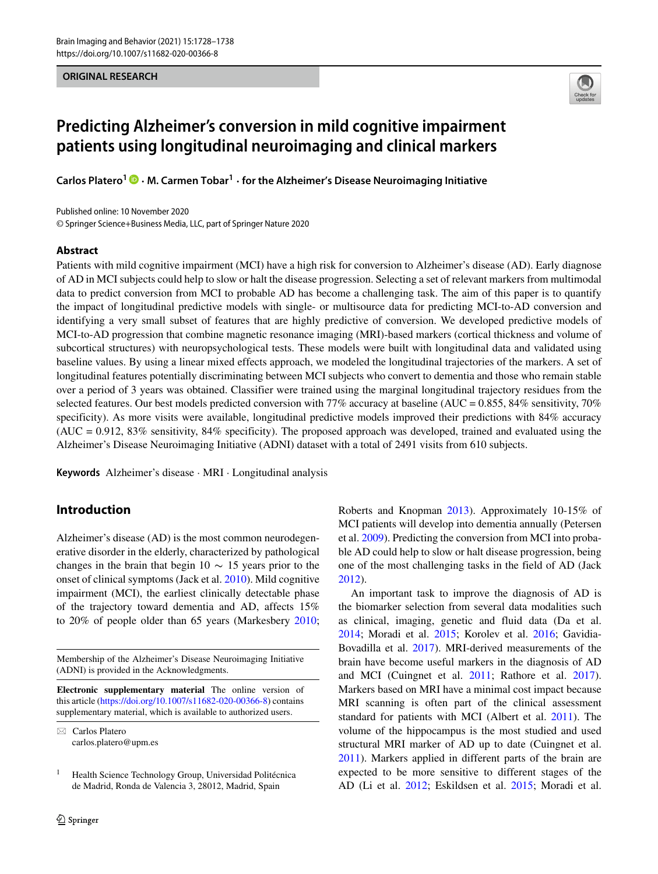**ORIGINAL RESEARCH**



# **Predicting Alzheimer's conversion in mild cognitive impairment patients using longitudinal neuroimaging and clinical markers**

**Carlos Platero1 · M. Carmen Tobar<sup>1</sup> · for the Alzheimer's Disease Neuroimaging Initiative**

© Springer Science+Business Media, LLC, part of Springer Nature 2020 Published online: 10 November 2020

#### **Abstract**

Patients with mild cognitive impairment (MCI) have a high risk for conversion to Alzheimer's disease (AD). Early diagnose of AD in MCI subjects could help to slow or halt the disease progression. Selecting a set of relevant markers from multimodal data to predict conversion from MCI to probable AD has become a challenging task. The aim of this paper is to quantify the impact of longitudinal predictive models with single- or multisource data for predicting MCI-to-AD conversion and identifying a very small subset of features that are highly predictive of conversion. We developed predictive models of MCI-to-AD progression that combine magnetic resonance imaging (MRI)-based markers (cortical thickness and volume of subcortical structures) with neuropsychological tests. These models were built with longitudinal data and validated using baseline values. By using a linear mixed effects approach, we modeled the longitudinal trajectories of the markers. A set of longitudinal features potentially discriminating between MCI subjects who convert to dementia and those who remain stable over a period of 3 years was obtained. Classifier were trained using the marginal longitudinal trajectory residues from the selected features. Our best models predicted conversion with 77% accuracy at baseline (AUC = 0.855, 84% sensitivity, 70% specificity). As more visits were available, longitudinal predictive models improved their predictions with 84% accuracy  $(AUC = 0.912, 83\%$  sensitivity,  $84\%$  specificity). The proposed approach was developed, trained and evaluated using the Alzheimer's Disease Neuroimaging Initiative (ADNI) dataset with a total of 2491 visits from 610 subjects.

**Keywords** Alzheimer's disease · MRI · Longitudinal analysis

## **Introduction**

Alzheimer's disease (AD) is the most common neurodegenerative disorder in the elderly, characterized by pathological changes in the brain that begin  $10 \sim 15$  years prior to the onset of clinical symptoms (Jack et al. [2010\)](#page-9-0). Mild cognitive impairment (MCI), the earliest clinically detectable phase of the trajectory toward dementia and AD, affects 15% to 20% of people older than 65 years (Markesbery [2010;](#page-10-0)

Membership of the Alzheimer's Disease Neuroimaging Initiative (ADNI) is provided in the Acknowledgments.

**Electronic supplementary material** The online version of this article [\(https://doi.org/10.1007/s11682-020-00366-8\)](https://doi.org/10.1007/s11682-020-00366-8) contains supplementary material, which is available to authorized users.

- Carlos Platero [carlos.platero@upm.es](mailto: carlos.platero@upm.es) Roberts and Knopman [2013\)](#page-10-1). Approximately 10-15% of MCI patients will develop into dementia annually (Petersen et al. [2009\)](#page-10-2). Predicting the conversion from MCI into probable AD could help to slow or halt disease progression, being one of the most challenging tasks in the field of AD (Jack [2012\)](#page-9-1).

An important task to improve the diagnosis of AD is the biomarker selection from several data modalities such as clinical, imaging, genetic and fluid data (Da et al. [2014;](#page-9-2) Moradi et al. [2015;](#page-10-3) Korolev et al. [2016;](#page-9-3) Gavidia-Bovadilla et al. [2017\)](#page-9-4). MRI-derived measurements of the brain have become useful markers in the diagnosis of AD and MCI (Cuingnet et al. [2011;](#page-9-5) Rathore et al. [2017\)](#page-10-4). Markers based on MRI have a minimal cost impact because MRI scanning is often part of the clinical assessment standard for patients with MCI (Albert et al. [2011\)](#page-9-6). The volume of the hippocampus is the most studied and used structural MRI marker of AD up to date (Cuingnet et al. [2011\)](#page-9-5). Markers applied in different parts of the brain are expected to be more sensitive to different stages of the AD (Li et al. [2012;](#page-10-5) Eskildsen et al. [2015;](#page-9-7) Moradi et al.

 $1$  Health Science Technology Group, Universidad Politécnica de Madrid, Ronda de Valencia 3, 28012, Madrid, Spain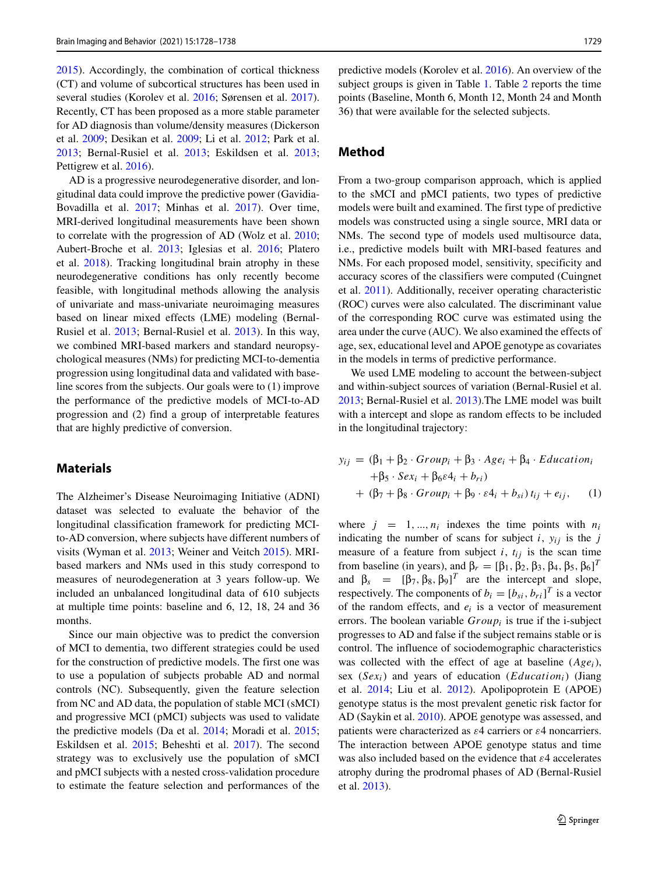[2015\)](#page-10-3). Accordingly, the combination of cortical thickness (CT) and volume of subcortical structures has been used in several studies (Korolev et al. [2016;](#page-9-3) Sørensen et al. [2017\)](#page-10-6). Recently, CT has been proposed as a more stable parameter for AD diagnosis than volume/density measures (Dickerson et al. [2009;](#page-9-8) Desikan et al. [2009;](#page-9-9) Li et al. [2012;](#page-10-5) Park et al. [2013;](#page-10-7) Bernal-Rusiel et al. [2013;](#page-9-10) Eskildsen et al. [2013;](#page-9-11) Pettigrew et al. [2016\)](#page-10-8).

AD is a progressive neurodegenerative disorder, and longitudinal data could improve the predictive power (Gavidia-Bovadilla et al. [2017;](#page-9-4) Minhas et al. [2017\)](#page-10-9). Over time, MRI-derived longitudinal measurements have been shown to correlate with the progression of AD (Wolz et al. [2010;](#page-10-10) Aubert-Broche et al. [2013;](#page-9-12) Iglesias et al. [2016;](#page-9-13) Platero et al. [2018\)](#page-10-11). Tracking longitudinal brain atrophy in these neurodegenerative conditions has only recently become feasible, with longitudinal methods allowing the analysis of univariate and mass-univariate neuroimaging measures based on linear mixed effects (LME) modeling (Bernal-Rusiel et al. [2013;](#page-9-14) Bernal-Rusiel et al. [2013\)](#page-9-10). In this way, we combined MRI-based markers and standard neuropsychological measures (NMs) for predicting MCI-to-dementia progression using longitudinal data and validated with baseline scores from the subjects. Our goals were to (1) improve the performance of the predictive models of MCI-to-AD progression and (2) find a group of interpretable features that are highly predictive of conversion.

### **Materials**

The Alzheimer's Disease Neuroimaging Initiative (ADNI) dataset was selected to evaluate the behavior of the longitudinal classification framework for predicting MCIto-AD conversion, where subjects have different numbers of visits (Wyman et al. [2013;](#page-10-12) Weiner and Veitch [2015\)](#page-10-13). MRIbased markers and NMs used in this study correspond to measures of neurodegeneration at 3 years follow-up. We included an unbalanced longitudinal data of 610 subjects at multiple time points: baseline and 6, 12, 18, 24 and 36 months.

Since our main objective was to predict the conversion of MCI to dementia, two different strategies could be used for the construction of predictive models. The first one was to use a population of subjects probable AD and normal controls (NC). Subsequently, given the feature selection from NC and AD data, the population of stable MCI (sMCI) and progressive MCI (pMCI) subjects was used to validate the predictive models (Da et al. [2014;](#page-9-2) Moradi et al. [2015;](#page-10-3) Eskildsen et al. [2015;](#page-9-7) Beheshti et al. [2017\)](#page-9-15). The second strategy was to exclusively use the population of sMCI and pMCI subjects with a nested cross-validation procedure to estimate the feature selection and performances of the

predictive models (Korolev et al. [2016\)](#page-9-3). An overview of the subject groups is given in Table [1.](#page-2-0) Table [2](#page-2-1) reports the time points (Baseline, Month 6, Month 12, Month 24 and Month 36) that were available for the selected subjects.

## **Method**

From a two-group comparison approach, which is applied to the sMCI and pMCI patients, two types of predictive models were built and examined. The first type of predictive models was constructed using a single source, MRI data or NMs. The second type of models used multisource data, i.e., predictive models built with MRI-based features and NMs. For each proposed model, sensitivity, specificity and accuracy scores of the classifiers were computed (Cuingnet et al. [2011\)](#page-9-5). Additionally, receiver operating characteristic (ROC) curves were also calculated. The discriminant value of the corresponding ROC curve was estimated using the area under the curve (AUC). We also examined the effects of age, sex, educational level and APOE genotype as covariates in the models in terms of predictive performance.

We used LME modeling to account the between-subject and within-subject sources of variation (Bernal-Rusiel et al. [2013;](#page-9-14) Bernal-Rusiel et al. [2013\)](#page-9-10).The LME model was built with a intercept and slope as random effects to be included in the longitudinal trajectory:

$$
y_{ij} = (\beta_1 + \beta_2 \cdot Group_i + \beta_3 \cdot Age_i + \beta_4 \cdot Education_i
$$
  
+  $\beta_5 \cdot Sex_i + \beta_6\epsilon 4_i + b_{ri}$   
+  $(\beta_7 + \beta_8 \cdot Group_i + \beta_9 \cdot \epsilon 4_i + b_{si}) t_{ij} + e_{ij}$ , (1)

where  $j = 1, ..., n_i$  indexes the time points with  $n_i$ indicating the number of scans for subject  $i$ ,  $y_{ij}$  is the  $j$ measure of a feature from subject  $i$ ,  $t_{ij}$  is the scan time from baseline (in years), and  $\beta_r = [\beta_1, \beta_2, \beta_3, \beta_4, \beta_5, \beta_6]^T$ and  $\beta_s$  =  $[\beta_7, \beta_8, \beta_9]^T$  are the intercept and slope, respectively. The components of  $b_i = [b_{si}, b_{ri}]^T$  is a vector of the random effects, and *ei* is a vector of measurement errors. The boolean variable *Groupi* is true if the i-subject progresses to AD and false if the subject remains stable or is control. The influence of sociodemographic characteristics was collected with the effect of age at baseline (*Agei*), sex  $(Sex_i)$  and years of education  $(Education_i)$  (Jiang et al. [2014;](#page-9-16) Liu et al. [2012\)](#page-10-14). Apolipoprotein E (APOE) genotype status is the most prevalent genetic risk factor for AD (Saykin et al. [2010\)](#page-10-15). APOE genotype was assessed, and patients were characterized as *ε*4 carriers or *ε*4 noncarriers. The interaction between APOE genotype status and time was also included based on the evidence that *ε*4 accelerates atrophy during the prodromal phases of AD (Bernal-Rusiel et al. [2013\)](#page-9-14).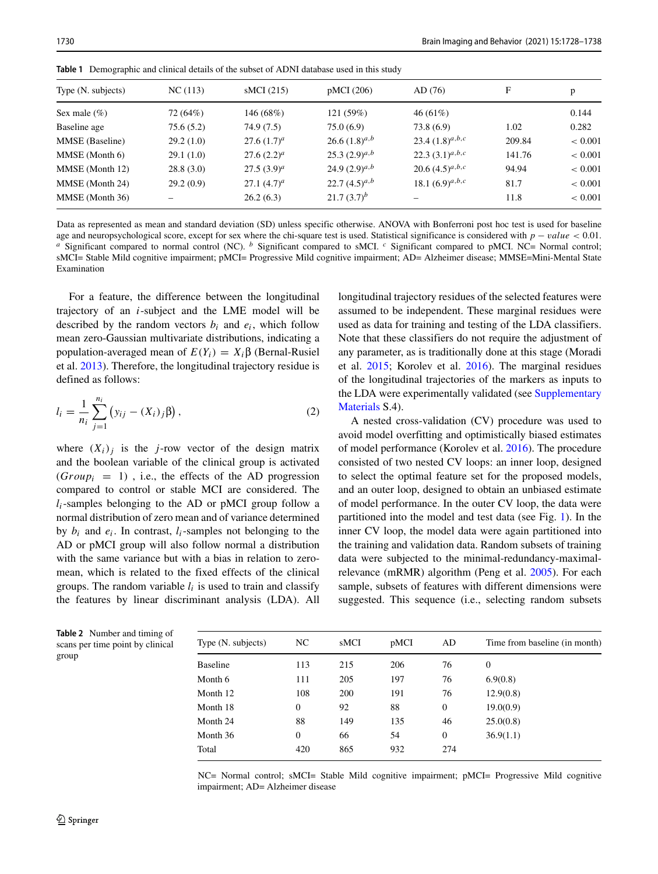| Type (N. subjects) | NC(113)   | sMCI(215)       | pMCI (206)         | AD(76)               | F      | p           |
|--------------------|-----------|-----------------|--------------------|----------------------|--------|-------------|
| Sex male $(\%)$    | 72 (64%)  | 146 (68%)       | 121 (59%)          | $46(61\%)$           |        | 0.144       |
| Baseline age       | 75.6(5.2) | 74.9 (7.5)      | 75.0(6.9)          | 73.8 (6.9)           | 1.02   | 0.282       |
| MMSE (Baseline)    | 29.2(1.0) | 27.6 $(1.7)^a$  | 26.6 $(1.8)^{a,b}$ | 23.4 $(1.8)^{a,b,c}$ | 209.84 | ${}< 0.001$ |
| MMSE (Month 6)     | 29.1(1.0) | $27.6(2.2)^a$   | $25.3(2.9)^{a,b}$  | 22.3 $(3.1)^{a,b,c}$ | 141.76 | ${}< 0.001$ |
| MMSE (Month 12)    | 28.8(3.0) | $27.5(3.9)^{a}$ | 24.9 $(2.9)^{a,b}$ | 20.6 $(4.5)^{a,b,c}$ | 94.94  | ${}< 0.001$ |
| MMSE (Month 24)    | 29.2(0.9) | 27.1 $(4.7)^a$  | 22.7 $(4.5)^{a,b}$ | 18.1 $(6.9)^{a,b,c}$ | 81.7   | ${}< 0.001$ |
| MMSE (Month 36)    |           | 26.2(6.3)       | $21.7(3.7)^b$      |                      | 11.8   | ${}< 0.001$ |

<span id="page-2-0"></span>**Table 1** Demographic and clinical details of the subset of ADNI database used in this study

Data as represented as mean and standard deviation (SD) unless specific otherwise. ANOVA with Bonferroni post hoc test is used for baseline age and neuropsychological score, except for sex where the chi-square test is used. Statistical significance is considered with  $p - value < 0.01$ .<br><sup>a</sup> Significant compared to normal control (NC). <sup>b</sup> Significant compared to sMC sMCI= Stable Mild cognitive impairment; pMCI= Progressive Mild cognitive impairment; AD= Alzheimer disease; MMSE=Mini-Mental State Examination

For a feature, the difference between the longitudinal trajectory of an *i*-subject and the LME model will be described by the random vectors  $b_i$  and  $e_i$ , which follow mean zero-Gaussian multivariate distributions, indicating a population-averaged mean of *E(Yi)* = *Xi*β (Bernal-Rusiel et al. [2013\)](#page-9-14). Therefore, the longitudinal trajectory residue is defined as follows:

$$
l_i = \frac{1}{n_i} \sum_{j=1}^{n_i} (y_{ij} - (X_i)_j \beta),
$$
 (2)

where  $(X_i)_i$  is the *j*-row vector of the design matrix and the boolean variable of the clinical group is activated  $(Group_i = 1)$ , i.e., the effects of the AD progression compared to control or stable MCI are considered. The  $l_i$ -samples belonging to the AD or pMCI group follow a normal distribution of zero mean and of variance determined by  $b_i$  and  $e_i$ . In contrast,  $l_i$ -samples not belonging to the AD or pMCI group will also follow normal a distribution with the same variance but with a bias in relation to zeromean, which is related to the fixed effects of the clinical groups. The random variable  $l_i$  is used to train and classify the features by linear discriminant analysis (LDA). All

longitudinal trajectory residues of the selected features were assumed to be independent. These marginal residues were used as data for training and testing of the LDA classifiers. Note that these classifiers do not require the adjustment of any parameter, as is traditionally done at this stage (Moradi et al. [2015;](#page-10-3) Korolev et al. [2016\)](#page-9-3). The marginal residues of the longitudinal trajectories of the markers as inputs to the LDA were experimentally validated (see Supplementary Materials S.4).

A nested cross-validation (CV) procedure was used to avoid model overfitting and optimistically biased estimates of model performance (Korolev et al. [2016\)](#page-9-3). The procedure consisted of two nested CV loops: an inner loop, designed to select the optimal feature set for the proposed models, and an outer loop, designed to obtain an unbiased estimate of model performance. In the outer CV loop, the data were partitioned into the model and test data (see Fig. [1\)](#page-3-0). In the inner CV loop, the model data were again partitioned into the training and validation data. Random subsets of training data were subjected to the minimal-redundancy-maximalrelevance (mRMR) algorithm (Peng et al. [2005\)](#page-10-16). For each sample, subsets of features with different dimensions were suggested. This sequence (i.e., selecting random subsets

| Type (N. subjects) | NC.          | sMCI | pMCI | AD             | Time from baseline (in month) |
|--------------------|--------------|------|------|----------------|-------------------------------|
| <b>Baseline</b>    | 113          | 215  | 206  | 76             | $\theta$                      |
| Month 6            | 111          | 205  | 197  | 76             | 6.9(0.8)                      |
| Month 12           | 108          | 200  | 191  | 76             | 12.9(0.8)                     |
| Month 18           | $\mathbf{0}$ | 92   | 88   | $\overline{0}$ | 19.0(0.9)                     |
| Month 24           | 88           | 149  | 135  | 46             | 25.0(0.8)                     |
| Month 36           | $\theta$     | 66   | 54   | $\mathbf{0}$   | 36.9(1.1)                     |
| Total              | 420          | 865  | 932  | 274            |                               |

NC= Normal control; sMCI= Stable Mild cognitive impairment; pMCI= Progressive Mild cognitive impairment; AD= Alzheimer disease

<span id="page-2-1"></span>**Table 2** Number and timing of scans per time point by clinical group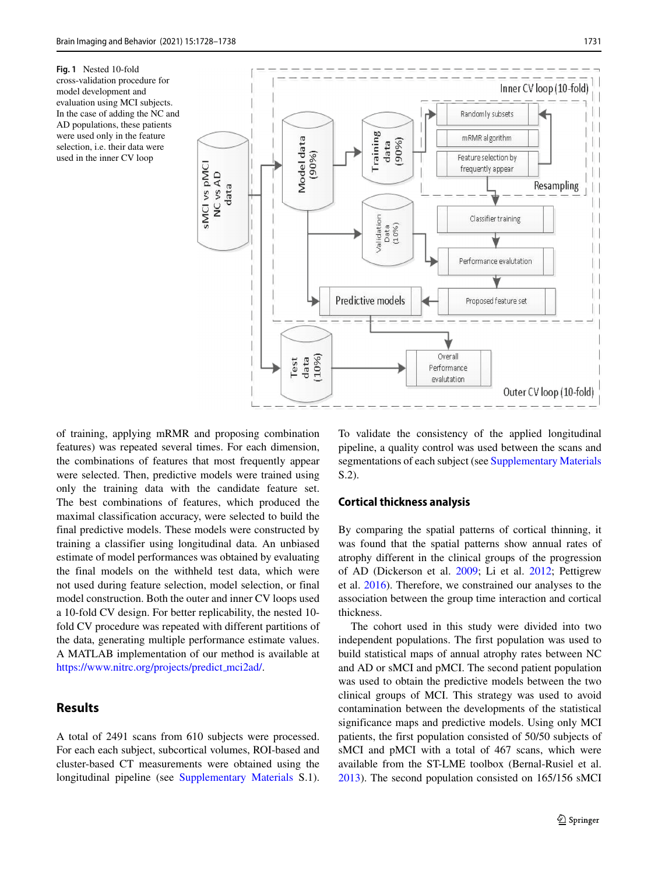<span id="page-3-0"></span>**Fig. 1** Nested 10-fold cross-validation procedure for model development and evaluation using MCI subjects. In the case of adding the NC and AD populations, these patients were used only in the feature selection, i.e. their data were used in the inner CV loop



of training, applying mRMR and proposing combination features) was repeated several times. For each dimension, the combinations of features that most frequently appear were selected. Then, predictive models were trained using only the training data with the candidate feature set. The best combinations of features, which produced the maximal classification accuracy, were selected to build the final predictive models. These models were constructed by training a classifier using longitudinal data. An unbiased estimate of model performances was obtained by evaluating the final models on the withheld test data, which were not used during feature selection, model selection, or final model construction. Both the outer and inner CV loops used a 10-fold CV design. For better replicability, the nested 10 fold CV procedure was repeated with different partitions of the data, generating multiple performance estimate values. A MATLAB implementation of our method is available at [https://www.nitrc.org/projects/predict](https://www.nitrc.org/projects/predict_mci2ad/) mci2ad/.

## **Results**

A total of 2491 scans from 610 subjects were processed. For each each subject, subcortical volumes, ROI-based and cluster-based CT measurements were obtained using the longitudinal pipeline (see Supplementary Materials S.1).

To validate the consistency of the applied longitudinal pipeline, a quality control was used between the scans and segmentations of each subject (see Supplementary Materials S.2).

#### **Cortical thickness analysis**

By comparing the spatial patterns of cortical thinning, it was found that the spatial patterns show annual rates of atrophy different in the clinical groups of the progression of AD (Dickerson et al. [2009;](#page-9-8) Li et al. [2012;](#page-10-5) Pettigrew et al. [2016\)](#page-10-8). Therefore, we constrained our analyses to the association between the group time interaction and cortical thickness.

The cohort used in this study were divided into two independent populations. The first population was used to build statistical maps of annual atrophy rates between NC and AD or sMCI and pMCI. The second patient population was used to obtain the predictive models between the two clinical groups of MCI. This strategy was used to avoid contamination between the developments of the statistical significance maps and predictive models. Using only MCI patients, the first population consisted of 50/50 subjects of sMCI and pMCI with a total of 467 scans, which were available from the ST-LME toolbox (Bernal-Rusiel et al. [2013\)](#page-9-10). The second population consisted on 165/156 sMCI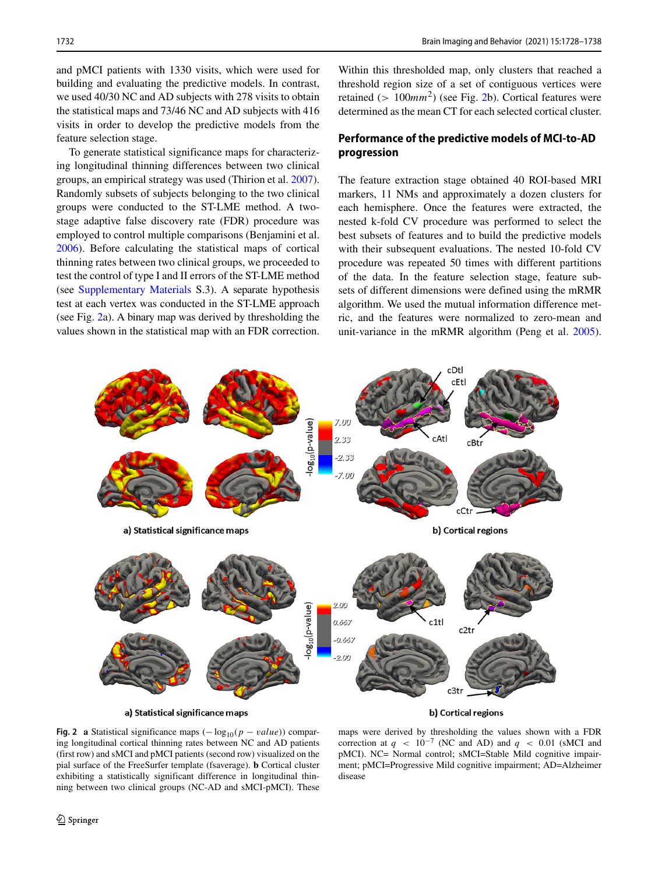and pMCI patients with 1330 visits, which were used for building and evaluating the predictive models. In contrast, we used 40/30 NC and AD subjects with 278 visits to obtain the statistical maps and 73/46 NC and AD subjects with 416 visits in order to develop the predictive models from the feature selection stage.

To generate statistical significance maps for characterizing longitudinal thinning differences between two clinical groups, an empirical strategy was used (Thirion et al. [2007\)](#page-10-17). Randomly subsets of subjects belonging to the two clinical groups were conducted to the ST-LME method. A twostage adaptive false discovery rate (FDR) procedure was employed to control multiple comparisons (Benjamini et al. [2006\)](#page-9-17). Before calculating the statistical maps of cortical thinning rates between two clinical groups, we proceeded to test the control of type I and II errors of the ST-LME method (see Supplementary Materials S.3). A separate hypothesis test at each vertex was conducted in the ST-LME approach (see Fig. [2a](#page-4-0)). A binary map was derived by thresholding the values shown in the statistical map with an FDR correction.

Within this thresholded map, only clusters that reached a threshold region size of a set of contiguous vertices were retained (*>* 100*mm*2) (see Fig. [2b](#page-4-0)). Cortical features were determined as the mean CT for each selected cortical cluster.

## **Performance of the predictive models of MCI-to-AD progression**

The feature extraction stage obtained 40 ROI-based MRI markers, 11 NMs and approximately a dozen clusters for each hemisphere. Once the features were extracted, the nested k-fold CV procedure was performed to select the best subsets of features and to build the predictive models with their subsequent evaluations. The nested 10-fold CV procedure was repeated 50 times with different partitions of the data. In the feature selection stage, feature subsets of different dimensions were defined using the mRMR algorithm. We used the mutual information difference metric, and the features were normalized to zero-mean and unit-variance in the mRMR algorithm (Peng et al. [2005\)](#page-10-16).

<span id="page-4-0"></span>

a) Statistical significance maps

b) Cortical regions

**Fig. 2 a** Statistical significance maps  $(-\log_{10}(p - value))$  comparing longitudinal cortical thinning rates between NC and AD patients (first row) and sMCI and pMCI patients (second row) visualized on the pial surface of the FreeSurfer template (fsaverage). **b** Cortical cluster exhibiting a statistically significant difference in longitudinal thinning between two clinical groups (NC-AD and sMCI-pMCI). These

maps were derived by thresholding the values shown with a FDR correction at  $q < 10^{-7}$  (NC and AD) and  $q < 0.01$  (sMCI and pMCI). NC= Normal control; sMCI=Stable Mild cognitive impairment; pMCI=Progressive Mild cognitive impairment; AD=Alzheimer disease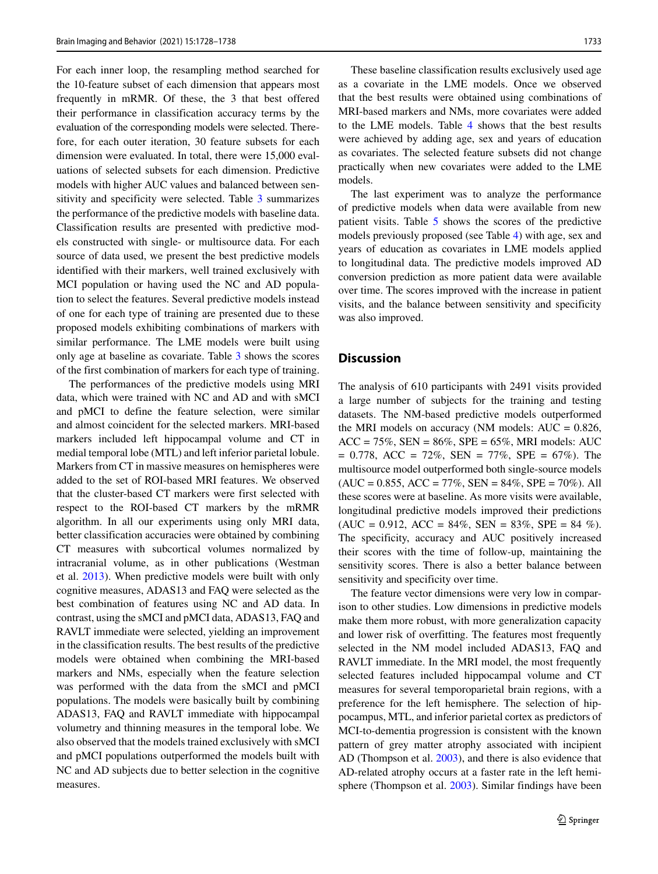For each inner loop, the resampling method searched for the 10-feature subset of each dimension that appears most frequently in mRMR. Of these, the 3 that best offered their performance in classification accuracy terms by the evaluation of the corresponding models were selected. Therefore, for each outer iteration, 30 feature subsets for each dimension were evaluated. In total, there were 15,000 evaluations of selected subsets for each dimension. Predictive models with higher AUC values and balanced between sensitivity and specificity were selected. Table [3](#page-6-0) summarizes the performance of the predictive models with baseline data. Classification results are presented with predictive models constructed with single- or multisource data. For each source of data used, we present the best predictive models identified with their markers, well trained exclusively with MCI population or having used the NC and AD population to select the features. Several predictive models instead of one for each type of training are presented due to these proposed models exhibiting combinations of markers with similar performance. The LME models were built using only age at baseline as covariate. Table [3](#page-6-0) shows the scores of the first combination of markers for each type of training.

The performances of the predictive models using MRI data, which were trained with NC and AD and with sMCI and pMCI to define the feature selection, were similar and almost coincident for the selected markers. MRI-based markers included left hippocampal volume and CT in medial temporal lobe (MTL) and left inferior parietal lobule. Markers from CT in massive measures on hemispheres were added to the set of ROI-based MRI features. We observed that the cluster-based CT markers were first selected with respect to the ROI-based CT markers by the mRMR algorithm. In all our experiments using only MRI data, better classification accuracies were obtained by combining CT measures with subcortical volumes normalized by intracranial volume, as in other publications (Westman et al. [2013\)](#page-10-18). When predictive models were built with only cognitive measures, ADAS13 and FAQ were selected as the best combination of features using NC and AD data. In contrast, using the sMCI and pMCI data, ADAS13, FAQ and RAVLT immediate were selected, yielding an improvement in the classification results. The best results of the predictive models were obtained when combining the MRI-based markers and NMs, especially when the feature selection was performed with the data from the sMCI and pMCI populations. The models were basically built by combining ADAS13, FAQ and RAVLT immediate with hippocampal volumetry and thinning measures in the temporal lobe. We also observed that the models trained exclusively with sMCI and pMCI populations outperformed the models built with NC and AD subjects due to better selection in the cognitive measures.

These baseline classification results exclusively used age as a covariate in the LME models. Once we observed that the best results were obtained using combinations of MRI-based markers and NMs, more covariates were added to the LME models. Table [4](#page-7-0) shows that the best results were achieved by adding age, sex and years of education as covariates. The selected feature subsets did not change practically when new covariates were added to the LME models.

The last experiment was to analyze the performance of predictive models when data were available from new patient visits. Table [5](#page-7-1) shows the scores of the predictive models previously proposed (see Table [4\)](#page-7-0) with age, sex and years of education as covariates in LME models applied to longitudinal data. The predictive models improved AD conversion prediction as more patient data were available over time. The scores improved with the increase in patient visits, and the balance between sensitivity and specificity was also improved.

#### **Discussion**

The analysis of 610 participants with 2491 visits provided a large number of subjects for the training and testing datasets. The NM-based predictive models outperformed the MRI models on accuracy (NM models:  $AUC = 0.826$ ,  $ACC = 75\%, SEN = 86\%, SPE = 65\%, MRI models: AUC$  $= 0.778$ , ACC  $= 72\%$ , SEN  $= 77\%$ , SPE  $= 67\%$ ). The multisource model outperformed both single-source models  $(AUC = 0.855, ACC = 77\%, SEN = 84\%, SPE = 70\%). All$ these scores were at baseline. As more visits were available, longitudinal predictive models improved their predictions  $(AUC = 0.912, ACC = 84\%, SEN = 83\%, SPE = 84\%).$ The specificity, accuracy and AUC positively increased their scores with the time of follow-up, maintaining the sensitivity scores. There is also a better balance between sensitivity and specificity over time.

The feature vector dimensions were very low in comparison to other studies. Low dimensions in predictive models make them more robust, with more generalization capacity and lower risk of overfitting. The features most frequently selected in the NM model included ADAS13, FAQ and RAVLT immediate. In the MRI model, the most frequently selected features included hippocampal volume and CT measures for several temporoparietal brain regions, with a preference for the left hemisphere. The selection of hippocampus, MTL, and inferior parietal cortex as predictors of MCI-to-dementia progression is consistent with the known pattern of grey matter atrophy associated with incipient AD (Thompson et al. [2003\)](#page-10-19), and there is also evidence that AD-related atrophy occurs at a faster rate in the left hemisphere (Thompson et al. [2003\)](#page-10-19). Similar findings have been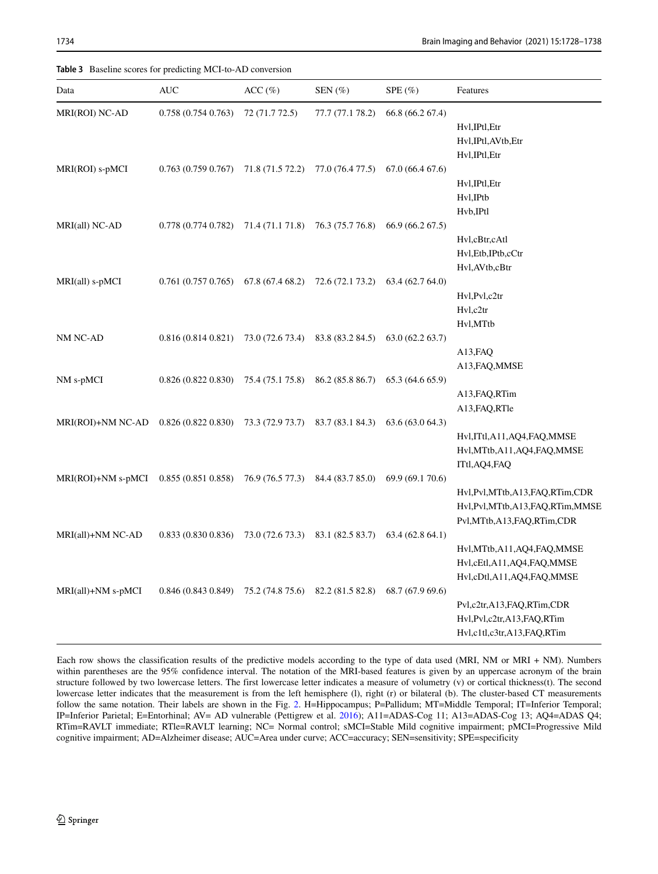<span id="page-6-0"></span>**Table 3** Baseline scores for predicting MCI-to-AD conversion

| Data                                   | <b>AUC</b>        | ACC (%)          | $SEN$ $(\%)$                      | $SPE(\%)$                         | Features                       |
|----------------------------------------|-------------------|------------------|-----------------------------------|-----------------------------------|--------------------------------|
| MRI(ROI) NC-AD                         | 0.758(0.7540.763) | 72 (71.7 72.5)   | 77.7 (77.1 78.2)                  | 66.8 (66.2 67.4)                  |                                |
|                                        |                   |                  |                                   |                                   | Hvl, IPtl, Etr                 |
|                                        |                   |                  |                                   |                                   | Hvl, IPtl, AVtb, Etr           |
|                                        |                   |                  |                                   |                                   | Hvl, IPtl, Etr                 |
| MRI(ROI) s-pMCI                        | 0.763(0.7590.767) | 71.8 (71.5 72.2) |                                   | $77.0(76.477.5)$ 67.0 (66.4 67.6) |                                |
|                                        |                   |                  |                                   |                                   | Hvl, IPtl, Etr                 |
|                                        |                   |                  |                                   |                                   | Hvl, IPtb                      |
|                                        |                   |                  |                                   |                                   | Hvb, IPtl                      |
| MRI(all) NC-AD                         | 0.778(0.7740.782) | 71.4 (71.1 71.8) | 76.3 (75.7 76.8)                  | 66.9 (66.2 67.5)                  |                                |
|                                        |                   |                  |                                   |                                   | Hvl,cBtr,cAtl                  |
|                                        |                   |                  |                                   |                                   | Hvl, Etb, IPtb, cCtr           |
|                                        |                   |                  |                                   |                                   | Hvl, AVtb, cBtr                |
| MRI(all) s-pMCI                        | 0.761(0.7570.765) | 67.8 (67.4 68.2) | 72.6 (72.1 73.2)                  | 63.4 (62.7 64.0)                  |                                |
|                                        |                   |                  |                                   |                                   | Hvl, Pvl, c2tr                 |
|                                        |                   |                  |                                   |                                   | Hvl,c2tr                       |
|                                        |                   |                  |                                   |                                   | Hvl,MTtb                       |
| NM NC-AD                               | 0.816(0.8140.821) | 73.0 (72.6 73.4) | 83.8 (83.2 84.5)                  | 63.0(62.263.7)                    |                                |
|                                        |                   |                  |                                   |                                   | A13, FAQ<br>A13, FAQ, MMSE     |
| NM s-pMCI                              | 0.826(0.8220.830) | 75.4 (75.1 75.8) | 86.2 (85.8 86.7)                  | 65.3 (64.6 65.9)                  |                                |
|                                        |                   |                  |                                   |                                   | A13, FAQ, RTim                 |
|                                        |                   |                  |                                   |                                   | A13, FAQ, RTle                 |
| MRI(ROI)+NM NC-AD                      | 0.826(0.8220.830) | 73.3 (72.9 73.7) |                                   | 83.7 (83.1 84.3) 63.6 (63.0 64.3) |                                |
|                                        |                   |                  |                                   |                                   | Hvl,ITtl,A11,AQ4,FAQ,MMSE      |
|                                        |                   |                  |                                   |                                   | Hvl, MTtb, A11, AQ4, FAQ, MMSE |
|                                        |                   |                  |                                   |                                   | ITtl, AQ4, FAQ                 |
| MRI(ROI)+NM s-pMCI 0.855 (0.851 0.858) |                   | 76.9 (76.5 77.3) | 84.4 (83.7 85.0)                  | 69.9 (69.1 70.6)                  |                                |
|                                        |                   |                  |                                   |                                   | Hvl,Pvl,MTtb,A13,FAQ,RTim,CDR  |
|                                        |                   |                  |                                   |                                   | Hvl,Pvl,MTtb,A13,FAQ,RTim,MMSE |
|                                        |                   |                  |                                   |                                   | Pvl,MTtb,A13,FAQ,RTim,CDR      |
| MRI(all)+NM NC-AD                      | 0.833(0.8300.836) |                  | 73.0 (72.6 73.3) 83.1 (82.5 83.7) | 63.4(62.864.1)                    |                                |
|                                        |                   |                  |                                   |                                   | Hvl, MTtb, A11, AQ4, FAQ, MMSE |
|                                        |                   |                  |                                   |                                   | Hvl,cEtl,A11,AQ4,FAQ,MMSE      |
|                                        |                   |                  |                                   |                                   | Hvl,cDtl,A11,AQ4,FAQ,MMSE      |
| MRI(all)+NM s-pMCI                     | 0.846(0.8430.849) | 75.2 (74.8 75.6) | 82.2 (81.5 82.8)                  | 68.7 (67.9 69.6)                  |                                |
|                                        |                   |                  |                                   |                                   | Pvl,c2tr,A13,FAQ,RTim,CDR      |
|                                        |                   |                  |                                   |                                   | Hvl,Pvl,c2tr,A13,FAQ,RTim      |
|                                        |                   |                  |                                   |                                   | Hvl,c1tl,c3tr,A13,FAQ,RTim     |

Each row shows the classification results of the predictive models according to the type of data used (MRI, NM or MRI + NM). Numbers within parentheses are the 95% confidence interval. The notation of the MRI-based features is given by an uppercase acronym of the brain structure followed by two lowercase letters. The first lowercase letter indicates a measure of volumetry (v) or cortical thickness(t). The second lowercase letter indicates that the measurement is from the left hemisphere (l), right (r) or bilateral (b). The cluster-based CT measurements follow the same notation. Their labels are shown in the Fig. [2.](#page-4-0) H=Hippocampus; P=Pallidum; MT=Middle Temporal; IT=Inferior Temporal; IP=Inferior Parietal; E=Entorhinal; AV= AD vulnerable (Pettigrew et al. [2016\)](#page-10-8); A11=ADAS-Cog 11; A13=ADAS-Cog 13; AQ4=ADAS Q4; RTim=RAVLT immediate; RTle=RAVLT learning; NC= Normal control; sMCI=Stable Mild cognitive impairment; pMCI=Progressive Mild cognitive impairment; AD=Alzheimer disease; AUC=Area under curve; ACC=accuracy; SEN=sensitivity; SPE=specificity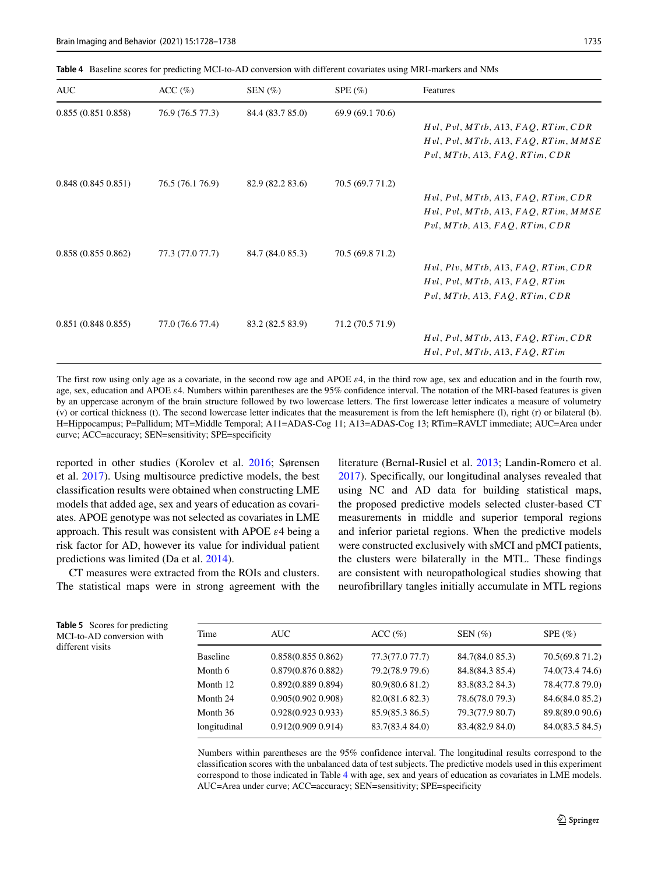<span id="page-7-0"></span>**Table 4** Baseline scores for predicting MCI-to-AD conversion with different covariates using MRI-markers and NMs

| <b>AUC</b>        | ACC (%)          | SEN $(\%)$       | $SPE(\%)$        | Features                                |
|-------------------|------------------|------------------|------------------|-----------------------------------------|
| 0.855(0.8510.858) | 76.9 (76.5 77.3) | 84.4 (83.7 85.0) | 69.9 (69.1 70.6) |                                         |
|                   |                  |                  |                  | Hvl, Pvl, MTtb, A13, FAQ, RTim, CDR     |
|                   |                  |                  |                  | $Hvl$ , Pvl, MTtb, A13, FAQ, RTim, MMSE |
|                   |                  |                  |                  | Pvl, MTtb, A13, FAQ, RTim, CDR          |
| 0.848(0.8450.851) | 76.5 (76.1 76.9) | 82.9 (82.2 83.6) | 70.5 (69.7 71.2) |                                         |
|                   |                  |                  |                  | Hvl, Pvl, MTtb, A13, FAQ, RTim, CDR     |
|                   |                  |                  |                  | $Hvl$ , Pvl, MTtb, A13, FAQ, RTim, MMSE |
|                   |                  |                  |                  | Pvl, MTtb, A13, FAQ, RTim, CDR          |
| 0.858(0.8550.862) | 77.3 (77.0 77.7) | 84.7 (84.0 85.3) | 70.5 (69.8 71.2) |                                         |
|                   |                  |                  |                  | Hvl, Plv, MTtb, A13, FAQ, RTim, CDR     |
|                   |                  |                  |                  | Hvl, Pvl, MTtb, A13, FAQ, RTim          |
|                   |                  |                  |                  | Pvl, MTtb, A13, FAQ, RTim, CDR          |
| 0.851(0.8480.855) | 77.0 (76.6 77.4) | 83.2 (82.5 83.9) | 71.2 (70.5 71.9) |                                         |
|                   |                  |                  |                  | Hvl, Pvl, MTtb, A13, FAQ, RTim, CDR     |
|                   |                  |                  |                  | Hvl, Pvl, MTtb, A13, FAQ, RTim          |

The first row using only age as a covariate, in the second row age and APOE *ε*4, in the third row age, sex and education and in the fourth row, age, sex, education and APOE *ε*4. Numbers within parentheses are the 95% confidence interval. The notation of the MRI-based features is given by an uppercase acronym of the brain structure followed by two lowercase letters. The first lowercase letter indicates a measure of volumetry (v) or cortical thickness (t). The second lowercase letter indicates that the measurement is from the left hemisphere (l), right (r) or bilateral (b). H=Hippocampus; P=Pallidum; MT=Middle Temporal; A11=ADAS-Cog 11; A13=ADAS-Cog 13; RTim=RAVLT immediate; AUC=Area under curve; ACC=accuracy; SEN=sensitivity; SPE=specificity

reported in other studies (Korolev et al. [2016;](#page-9-3) Sørensen et al. [2017\)](#page-10-6). Using multisource predictive models, the best classification results were obtained when constructing LME models that added age, sex and years of education as covariates. APOE genotype was not selected as covariates in LME approach. This result was consistent with APOE *ε*4 being a risk factor for AD, however its value for individual patient predictions was limited (Da et al. [2014\)](#page-9-2).

CT measures were extracted from the ROIs and clusters. The statistical maps were in strong agreement with the literature (Bernal-Rusiel et al. [2013;](#page-9-10) Landin-Romero et al. [2017\)](#page-10-20). Specifically, our longitudinal analyses revealed that using NC and AD data for building statistical maps, the proposed predictive models selected cluster-based CT measurements in middle and superior temporal regions and inferior parietal regions. When the predictive models were constructed exclusively with sMCI and pMCI patients, the clusters were bilaterally in the MTL. These findings are consistent with neuropathological studies showing that neurofibrillary tangles initially accumulate in MTL regions

<span id="page-7-1"></span>**Table 5** Scores for predicting MCI-to-AD conversion with different visits

| Time            | AUC-                  | ACC (%)         | SEN $(\% )$     | $SPE(\%)$       |
|-----------------|-----------------------|-----------------|-----------------|-----------------|
| <b>Baseline</b> | $0.858(0.855\ 0.862)$ | 77.3(77.0 77.7) | 84.7(84.0 85.3) | 70.5(69.8 71.2) |
| Month 6         | $0.879(0.876\ 0.882)$ | 79.2(78.9 79.6) | 84.8(84.3 85.4) | 74.0(73.4 74.6) |
| Month 12        | $0.892(0.889\ 0.894)$ | 80.9(80.6 81.2) | 83.8(83.2 84.3) | 78.4(77.8 79.0) |
| Month 24        | $0.905(0.902\ 0.908)$ | 82.0(81.6 82.3) | 78.6(78.0 79.3) | 84.6(84.0 85.2) |
| Month 36        | $0.928(0.923\ 0.933)$ | 85.9(85.3 86.5) | 79.3(77.9 80.7) | 89.8(89.0 90.6) |
| longitudinal    | $0.912(0.909\ 0.914)$ | 83.7(83.4 84.0) | 83.4(82.9 84.0) | 84.0(83.5 84.5) |

Numbers within parentheses are the 95% confidence interval. The longitudinal results correspond to the classification scores with the unbalanced data of test subjects. The predictive models used in this experiment correspond to those indicated in Table [4](#page-7-0) with age, sex and years of education as covariates in LME models. AUC=Area under curve; ACC=accuracy; SEN=sensitivity; SPE=specificity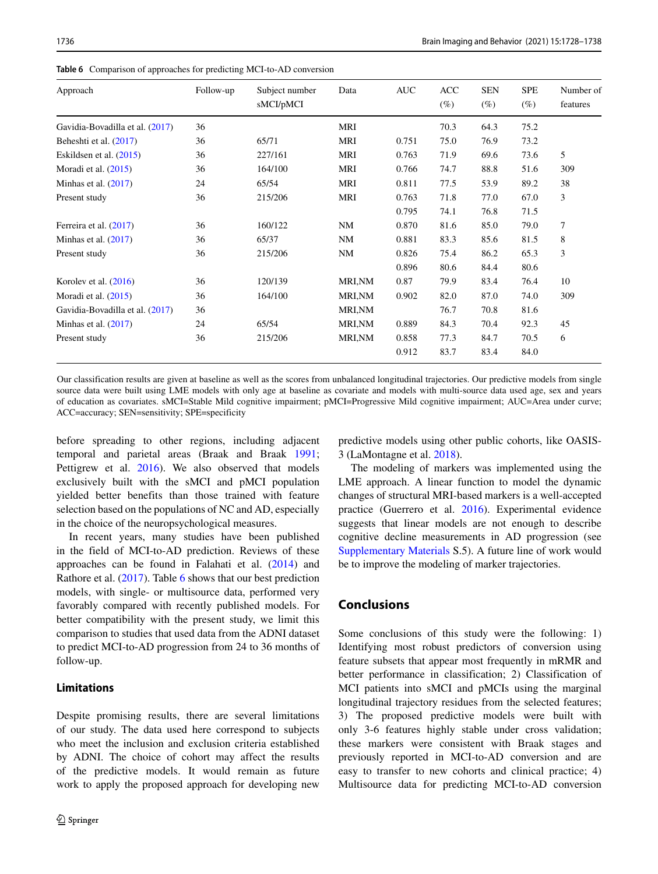| 36<br>Gavidia-Bovadilla et al. (2017)<br>MRI<br>70.3<br>64.3<br>75.2<br>36<br><b>MRI</b><br>73.2<br>Beheshti et al. (2017)<br>65/71<br>0.751<br>75.0<br>76.9<br>5<br>36<br>MRI<br>0.763<br>Eskildsen et al. $(2015)$<br>227/161<br>71.9<br>69.6<br>73.6<br>36<br>164/100<br>MRI<br>0.766<br>74.7<br>88.8<br>51.6<br>309<br>Moradi et al. $(2015)$<br>38<br>24<br>65/54<br>MRI<br>0.811<br>77.5<br>53.9<br>Minhas et al. $(2017)$<br>89.2<br>3<br>36<br>MRI<br>215/206<br>0.763<br>71.8<br>77.0<br>67.0<br>Present study | Number of<br>features |
|-------------------------------------------------------------------------------------------------------------------------------------------------------------------------------------------------------------------------------------------------------------------------------------------------------------------------------------------------------------------------------------------------------------------------------------------------------------------------------------------------------------------------|-----------------------|
|                                                                                                                                                                                                                                                                                                                                                                                                                                                                                                                         |                       |
|                                                                                                                                                                                                                                                                                                                                                                                                                                                                                                                         |                       |
|                                                                                                                                                                                                                                                                                                                                                                                                                                                                                                                         |                       |
|                                                                                                                                                                                                                                                                                                                                                                                                                                                                                                                         |                       |
|                                                                                                                                                                                                                                                                                                                                                                                                                                                                                                                         |                       |
|                                                                                                                                                                                                                                                                                                                                                                                                                                                                                                                         |                       |
| 0.795<br>76.8<br>74.1<br>71.5                                                                                                                                                                                                                                                                                                                                                                                                                                                                                           |                       |
| 7<br>36<br>160/122<br>NM<br>0.870<br>81.6<br>85.0<br>Ferreira et al. (2017)<br>79.0                                                                                                                                                                                                                                                                                                                                                                                                                                     |                       |
| 8<br>36<br>65/37<br>NM<br>0.881<br>83.3<br>85.6<br>81.5<br>Minhas et al. $(2017)$                                                                                                                                                                                                                                                                                                                                                                                                                                       |                       |
| 3<br>36<br>0.826<br>86.2<br>215/206<br><b>NM</b><br>75.4<br>65.3<br>Present study                                                                                                                                                                                                                                                                                                                                                                                                                                       |                       |
| 0.896<br>80.6<br>84.4<br>80.6                                                                                                                                                                                                                                                                                                                                                                                                                                                                                           |                       |
| 36<br>Korolev et al. $(2016)$<br>120/139<br><b>MRI,NM</b><br>0.87<br>79.9<br>83.4<br>76.4<br>10                                                                                                                                                                                                                                                                                                                                                                                                                         |                       |
| 36<br>164/100<br>0.902<br>87.0<br>309<br>Moradi et al. $(2015)$<br><b>MRI,NM</b><br>82.0<br>74.0                                                                                                                                                                                                                                                                                                                                                                                                                        |                       |
| 36<br><b>MRI,NM</b><br>76.7<br>70.8<br>81.6<br>Gavidia-Bovadilla et al. (2017)                                                                                                                                                                                                                                                                                                                                                                                                                                          |                       |
| 24<br>45<br>65/54<br>MRI,NM<br>0.889<br>84.3<br>70.4<br>92.3<br>Minhas et al. $(2017)$                                                                                                                                                                                                                                                                                                                                                                                                                                  |                       |
| 36<br>6<br>Present study<br>215/206<br>MRI,NM<br>0.858<br>77.3<br>84.7<br>70.5                                                                                                                                                                                                                                                                                                                                                                                                                                          |                       |
| 0.912<br>83.7<br>83.4<br>84.0                                                                                                                                                                                                                                                                                                                                                                                                                                                                                           |                       |

<span id="page-8-0"></span>**Table 6** Comparison of approaches for predicting MCI-to-AD conversion

Our classification results are given at baseline as well as the scores from unbalanced longitudinal trajectories. Our predictive models from single source data were built using LME models with only age at baseline as covariate and models with multi-source data used age, sex and years of education as covariates. sMCI=Stable Mild cognitive impairment; pMCI=Progressive Mild cognitive impairment; AUC=Area under curve; ACC=accuracy; SEN=sensitivity; SPE=specificity

before spreading to other regions, including adjacent temporal and parietal areas (Braak and Braak [1991;](#page-9-19) Pettigrew et al. [2016\)](#page-10-8). We also observed that models exclusively built with the sMCI and pMCI population yielded better benefits than those trained with feature selection based on the populations of NC and AD, especially in the choice of the neuropsychological measures.

In recent years, many studies have been published in the field of MCI-to-AD prediction. Reviews of these approaches can be found in Falahati et al. [\(2014\)](#page-9-20) and Rathore et al. [\(2017\)](#page-10-4). Table [6](#page-8-0) shows that our best prediction models, with single- or multisource data, performed very favorably compared with recently published models. For better compatibility with the present study, we limit this comparison to studies that used data from the ADNI dataset to predict MCI-to-AD progression from 24 to 36 months of follow-up.

### **Limitations**

Despite promising results, there are several limitations of our study. The data used here correspond to subjects who meet the inclusion and exclusion criteria established by ADNI. The choice of cohort may affect the results of the predictive models. It would remain as future work to apply the proposed approach for developing new predictive models using other public cohorts, like OASIS-3 (LaMontagne et al. [2018\)](#page-9-21).

The modeling of markers was implemented using the LME approach. A linear function to model the dynamic changes of structural MRI-based markers is a well-accepted practice (Guerrero et al. [2016\)](#page-9-22). Experimental evidence suggests that linear models are not enough to describe cognitive decline measurements in AD progression (see Supplementary Materials S.5). A future line of work would be to improve the modeling of marker trajectories.

## **Conclusions**

Some conclusions of this study were the following: 1) Identifying most robust predictors of conversion using feature subsets that appear most frequently in mRMR and better performance in classification; 2) Classification of MCI patients into sMCI and pMCIs using the marginal longitudinal trajectory residues from the selected features; 3) The proposed predictive models were built with only 3-6 features highly stable under cross validation; these markers were consistent with Braak stages and previously reported in MCI-to-AD conversion and are easy to transfer to new cohorts and clinical practice; 4) Multisource data for predicting MCI-to-AD conversion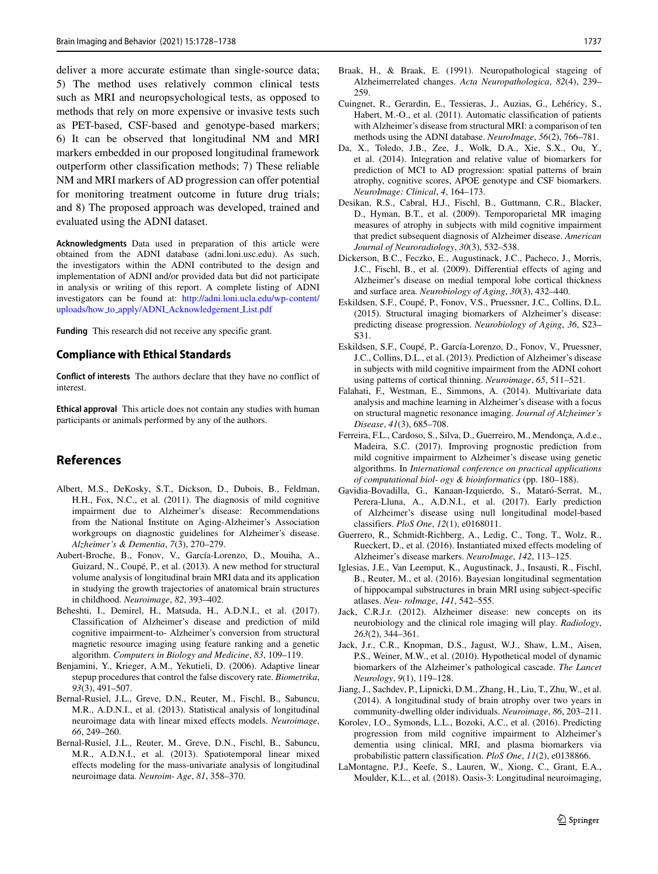deliver a more accurate estimate than single-source data; 5) The method uses relatively common clinical tests such as MRI and neuropsychological tests, as opposed to methods that rely on more expensive or invasive tests such as PET-based, CSF-based and genotype-based markers; 6) It can be observed that longitudinal NM and MRI markers embedded in our proposed longitudinal framework outperform other classification methods; 7) These reliable NM and MRI markers of AD progression can offer potential for monitoring treatment outcome in future drug trials; and 8) The proposed approach was developed, trained and evaluated using the ADNI dataset.

**Acknowledgments** Data used in preparation of this article were obtained from the ADNI database (adni.loni.usc.edu). As such, the investigators within the ADNI contributed to the design and implementation of ADNI and/or provided data but did not participate in analysis or writing of this report. A complete listing of ADNI investigators can be found at: [http://adni.loni.ucla.edu/wp-content/](http://adni.loni.ucla.edu/wp-content/uploads/how_to_apply/ADNI_Acknowledgement_List.pdf) uploads/how to apply/ADNI [Acknowledgement](http://adni.loni.ucla.edu/wp-content/uploads/how_to_apply/ADNI_Acknowledgement_List.pdf) List.pdf

**Funding** This research did not receive any specific grant.

#### **Compliance with Ethical Standards**

**Conflict of interests** The authors declare that they have no conflict of interest.

**Ethical approval** This article does not contain any studies with human participants or animals performed by any of the authors.

#### **References**

- <span id="page-9-6"></span>Albert, M.S., DeKosky, S.T., Dickson, D., Dubois, B., Feldman, H.H., Fox, N.C., et al. (2011). The diagnosis of mild cognitive impairment due to Alzheimer's disease: Recommendations from the National Institute on Aging-Alzheimer's Association workgroups on diagnostic guidelines for Alzheimer's disease. *Alzheimer's & Dementia*, *7*(3), 270–279.
- <span id="page-9-12"></span>Aubert-Broche, B., Fonov, V., García-Lorenzo, D., Mouiha, A., Guizard, N., Coupé, P., et al. (2013). A new method for structural volume analysis of longitudinal brain MRI data and its application in studying the growth trajectories of anatomical brain structures in childhood. *Neuroimage*, *82*, 393–402.
- <span id="page-9-15"></span>Beheshti, I., Demirel, H., Matsuda, H., A.D.N.I., et al. (2017). Classification of Alzheimer's disease and prediction of mild cognitive impairment-to- Alzheimer's conversion from structural magnetic resource imaging using feature ranking and a genetic algorithm. *Computers in Biology and Medicine*, *83*, 109–119.
- <span id="page-9-17"></span>Benjamini, Y., Krieger, A.M., Yekutieli, D. (2006). Adaptive linear stepup procedures that control the false discovery rate. *Biometrika*, *93*(3), 491–507.
- <span id="page-9-14"></span>Bernal-Rusiel, J.L., Greve, D.N., Reuter, M., Fischl, B., Sabuncu, M.R., A.D.N.I., et al. (2013). Statistical analysis of longitudinal neuroimage data with linear mixed effects models. *Neuroimage*, *66*, 249–260.
- <span id="page-9-10"></span>Bernal-Rusiel, J.L., Reuter, M., Greve, D.N., Fischl, B., Sabuncu, M.R., A.D.N.I., et al. (2013). Spatiotemporal linear mixed effects modeling for the mass-univariate analysis of longitudinal neuroimage data. *Neuroim- Age*, *81*, 358–370.
- <span id="page-9-19"></span>Braak, H., & Braak, E. (1991). Neuropathological stageing of Alzheimerrelated changes. *Acta Neuropathologica*, *82*(4), 239– 259.
- <span id="page-9-5"></span>Cuingnet, R., Gerardin, E., Tessieras, J., Auzias, G., Lehericy, S., ´ Habert, M.-O., et al. (2011). Automatic classification of patients with Alzheimer's disease from structural MRI: a comparison of ten methods using the ADNI database. *NeuroImage*, *56*(2), 766–781.
- <span id="page-9-2"></span>Da, X., Toledo, J.B., Zee, J., Wolk, D.A., Xie, S.X., Ou, Y., et al. (2014). Integration and relative value of biomarkers for prediction of MCI to AD progression: spatial patterns of brain atrophy, cognitive scores, APOE genotype and CSF biomarkers. *NeuroImage: Clinical*, *4*, 164–173.
- <span id="page-9-9"></span>Desikan, R.S., Cabral, H.J., Fischl, B., Guttmann, C.R., Blacker, D., Hyman, B.T., et al. (2009). Temporoparietal MR imaging measures of atrophy in subjects with mild cognitive impairment that predict subsequent diagnosis of Alzheimer disease. *American Journal of Neuroradiology*, *30*(3), 532–538.
- <span id="page-9-8"></span>Dickerson, B.C., Feczko, E., Augustinack, J.C., Pacheco, J., Morris, J.C., Fischl, B., et al. (2009). Differential effects of aging and Alzheimer's disease on medial temporal lobe cortical thickness and surface area. *Neurobiology of Aging*, *30*(3), 432–440.
- <span id="page-9-7"></span>Eskildsen, S.F., Coupé, P., Fonov, V.S., Pruessner, J.C., Collins, D.L. (2015). Structural imaging biomarkers of Alzheimer's disease: predicting disease progression. *Neurobiology of Aging*, *36*, S23– S31.
- <span id="page-9-11"></span>Eskildsen, S.F., Coupé, P., García-Lorenzo, D., Fonov, V., Pruessner, J.C., Collins, D.L., et al. (2013). Prediction of Alzheimer's disease in subjects with mild cognitive impairment from the ADNI cohort using patterns of cortical thinning. *Neuroimage*, *65*, 511–521.
- <span id="page-9-20"></span>Falahati, F., Westman, E., Simmons, A. (2014). Multivariate data analysis and machine learning in Alzheimer's disease with a focus on structural magnetic resonance imaging. *Journal of Alzheimer's Disease*, *41*(3), 685–708.
- <span id="page-9-18"></span>Ferreira, F.L., Cardoso, S., Silva, D., Guerreiro, M., Mendonça, A.d.e., Madeira, S.C. (2017). Improving prognostic prediction from mild cognitive impairment to Alzheimer's disease using genetic algorithms. In *International conference on practical applications of computational biol- ogy & bioinformatics* (pp. 180–188).
- <span id="page-9-4"></span>Gavidia-Bovadilla, G., Kanaan-Izquierdo, S., Mataró-Serrat, M., Perera-Lluna, A., A.D.N.I., et al. (2017). Early prediction of Alzheimer's disease using null longitudinal model-based classifiers. *PloS One*, *12*(1), e0168011.
- <span id="page-9-22"></span>Guerrero, R., Schmidt-Richberg, A., Ledig, C., Tong, T., Wolz, R., Rueckert, D., et al. (2016). Instantiated mixed effects modeling of Alzheimer's disease markers. *NeuroImage*, *142*, 113–125.
- <span id="page-9-13"></span>Iglesias, J.E., Van Leemput, K., Augustinack, J., Insausti, R., Fischl, B., Reuter, M., et al. (2016). Bayesian longitudinal segmentation of hippocampal substructures in brain MRI using subject-specific atlases. *Neu- roImage*, *141*, 542–555.
- <span id="page-9-1"></span>Jack, C.R.J.r. (2012). Alzheimer disease: new concepts on its neurobiology and the clinical role imaging will play. *Radiology*, *263*(2), 344–361.
- <span id="page-9-0"></span>Jack, J.r., C.R., Knopman, D.S., Jagust, W.J., Shaw, L.M., Aisen, P.S., Weiner, M.W., et al. (2010). Hypothetical model of dynamic biomarkers of the Alzheimer's pathological cascade. *The Lancet Neurology*, *9*(1), 119–128.
- <span id="page-9-16"></span>Jiang, J., Sachdev, P., Lipnicki, D.M., Zhang, H., Liu, T., Zhu, W., et al. (2014). A longitudinal study of brain atrophy over two years in community-dwelling older individuals. *Neuroimage*, *86*, 203–211.
- <span id="page-9-3"></span>Korolev, I.O., Symonds, L.L., Bozoki, A.C., et al. (2016). Predicting progression from mild cognitive impairment to Alzheimer's dementia using clinical, MRI, and plasma biomarkers via probabilistic pattern classification. *PloS One*, *11*(2), e0138866.
- <span id="page-9-21"></span>LaMontagne, P.J., Keefe, S., Lauren, W., Xiong, C., Grant, E.A., Moulder, K.L., et al. (2018). Oasis-3: Longitudinal neuroimaging,